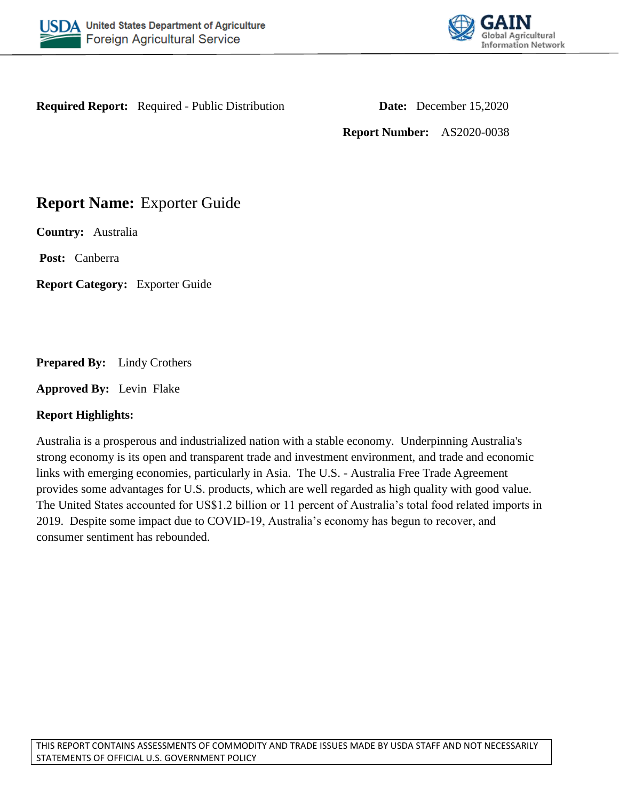



**Required Report:** Required - Public Distribution **Date:** December 15,2020

**Report Number:** AS2020-0038

## **Report Name:** Exporter Guide

**Country:** Australia

Post: Canberra

**Report Category:** Exporter Guide

**Prepared By:** Lindy Crothers

**Approved By:** Levin Flake

### **Report Highlights:**

Australia is a prosperous and industrialized nation with a stable economy. Underpinning Australia's strong economy is its open and transparent trade and investment environment, and trade and economic links with emerging economies, particularly in Asia. The U.S. - Australia Free Trade Agreement provides some advantages for U.S. products, which are well regarded as high quality with good value. The United States accounted for US\$1.2 billion or 11 percent of Australia's total food related imports in 2019. Despite some impact due to COVID-19, Australia's economy has begun to recover, and consumer sentiment has rebounded.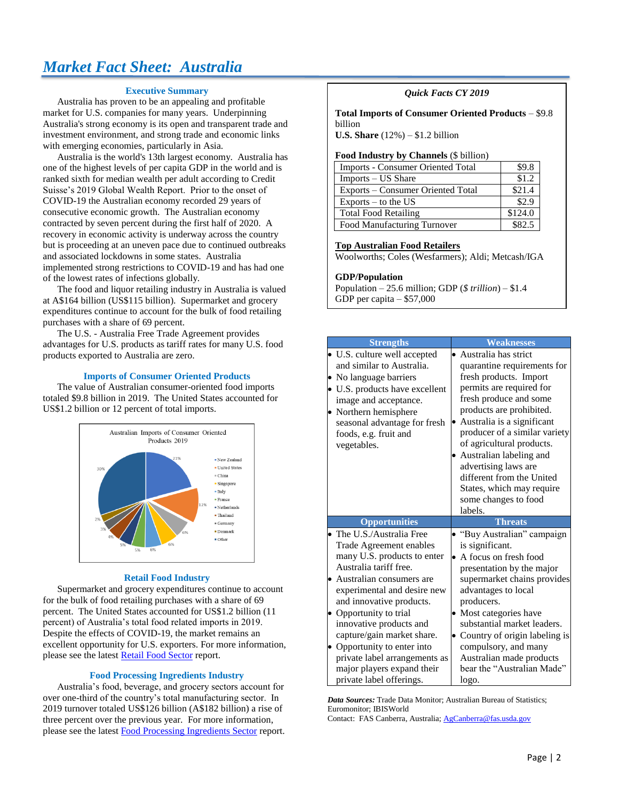# *Market Fact Sheet: Australia*

#### **Executive Summary**

Australia has proven to be an appealing and profitable market for U.S. companies for many years. Underpinning Australia's strong economy is its open and transparent trade and investment environment, and strong trade and economic links with emerging economies, particularly in Asia.

Australia is the world's 13th largest economy. Australia has one of the highest levels of per capita GDP in the world and is ranked sixth for median wealth per adult according to Credit Suisse's 2019 Global Wealth Report. Prior to the onset of COVID-19 the Australian economy recorded 29 years of consecutive economic growth. The Australian economy contracted by seven percent during the first half of 2020. A recovery in economic activity is underway across the country but is proceeding at an uneven pace due to continued outbreaks and associated lockdowns in some states. Australia implemented strong restrictions to COVID-19 and has had one of the lowest rates of infections globally.

The food and liquor retailing industry in Australia is valued at A\$164 billion (US\$115 billion). Supermarket and grocery expenditures continue to account for the bulk of food retailing purchases with a share of 69 percent.

The U.S. - Australia Free Trade Agreement provides advantages for U.S. products as tariff rates for many U.S. food products exported to Australia are zero.

#### **Imports of Consumer Oriented Products**

The value of Australian consumer-oriented food imports totaled \$9.8 billion in 2019. The United States accounted for US\$1.2 billion or 12 percent of total imports.



#### **Retail Food Industry**

Supermarket and grocery expenditures continue to account for the bulk of food retailing purchases with a share of 69 percent. The United States accounted for US\$1.2 billion (11 percent) of Australia's total food related imports in 2019. Despite the effects of COVID-19, the market remains an excellent opportunity for U.S. exporters. For more information, please see the lates[t Retail Food Sector](https://gain.fas.usda.gov/#/search) report.

#### **Food Processing Ingredients Industry**

Australia's food, beverage, and grocery sectors account for over one-third of the country's total manufacturing sector. In 2019 turnover totaled US\$126 billion (A\$182 billion) a rise of three percent over the previous year. For more information, please see the lates[t Food Processing Ingredients Sector](https://gain.fas.usda.gov/#/search) report.

#### *Quick Facts CY 2019*

**Total Imports of Consumer Oriented Products** – \$9.8 billion

**U.S. Share** (12%) – \$1.2 billion

#### **Food Industry by Channels** (\$ billion)

| <b>Imports - Consumer Oriented Total</b> | \$9.8   |
|------------------------------------------|---------|
| Imports – US Share                       | \$1.2   |
| Exports – Consumer Oriented Total        | \$21.4  |
| Exports $-$ to the US                    | \$2.9   |
| <b>Total Food Retailing</b>              | \$124.0 |
| Food Manufacturing Turnover              | \$82.5  |

#### **Top Australian Food Retailers**

Woolworths; Coles (Wesfarmers); Aldi; Metcash/IGA

#### **GDP/Population**

Population – 25.6 million; GDP (*\$ trillion*) – \$1.4 GDP per capita – \$57,000

|   | <b>Strengths</b>                                        | <b>Weaknesses</b>                                     |
|---|---------------------------------------------------------|-------------------------------------------------------|
|   | • U.S. culture well accepted                            | Australia has strict                                  |
| ۰ | and similar to Australia.<br>No language barriers       | quarantine requirements for<br>fresh products. Import |
|   | • U.S. products have excellent                          | permits are required for                              |
|   | image and acceptance.                                   | fresh produce and some                                |
|   | Northern hemisphere                                     | products are prohibited.                              |
|   | seasonal advantage for fresh                            | Australia is a significant                            |
|   | foods, e.g. fruit and                                   | producer of a similar variety                         |
|   | vegetables.                                             | of agricultural products.                             |
|   |                                                         | • Australian labeling and                             |
|   |                                                         | advertising laws are<br>different from the United     |
|   |                                                         | States, which may require                             |
|   |                                                         | some changes to food                                  |
|   |                                                         | labels.                                               |
|   | <b>Opportunities</b>                                    | <b>Threats</b>                                        |
|   | The U.S./Australia Free                                 | "Buy Australian" campaign                             |
|   | Trade Agreement enables                                 | is significant.                                       |
|   | many U.S. products to enter                             | A focus on fresh food                                 |
|   | Australia tariff free.                                  | presentation by the major                             |
| ٠ | Australian consumers are                                | supermarket chains provides                           |
|   | experimental and desire new<br>and innovative products. | advantages to local<br>producers.                     |
|   | Opportunity to trial                                    | • Most categories have                                |
|   | innovative products and                                 | substantial market leaders.                           |
|   | capture/gain market share.                              | • Country of origin labeling is                       |
|   | Opportunity to enter into                               | compulsory, and many                                  |
|   | private label arrangements as                           | Australian made products                              |
|   | major players expand their                              | bear the "Australian Made"                            |
|   | private label offerings.                                | logo.                                                 |

*Data Sources:* Trade Data Monitor; Australian Bureau of Statistics; Euromonitor; IBISWorld Contact: FAS Canberra, Australia[; AgCanberra@fas.usda.gov](mailto:AgCanberra@fas.usda.gov)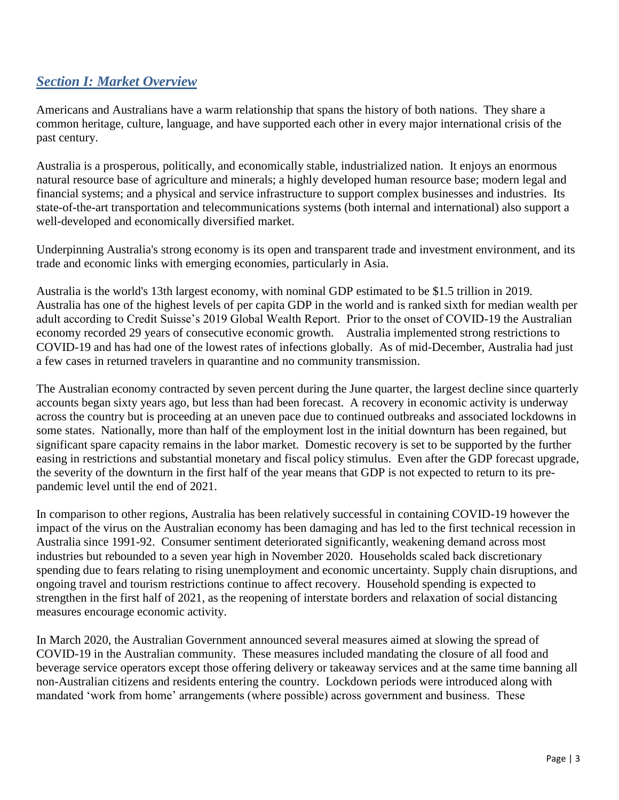## *Section I: Market Overview*

Americans and Australians have a warm relationship that spans the history of both nations. They share a common heritage, culture, language, and have supported each other in every major international crisis of the past century.

Australia is a prosperous, politically, and economically stable, industrialized nation. It enjoys an enormous natural resource base of agriculture and minerals; a highly developed human resource base; modern legal and financial systems; and a physical and service infrastructure to support complex businesses and industries. Its state-of-the-art transportation and telecommunications systems (both internal and international) also support a well-developed and economically diversified market.

Underpinning Australia's strong economy is its open and transparent trade and investment environment, and its trade and economic links with emerging economies, particularly in Asia.

Australia is the world's 13th largest economy, with nominal GDP estimated to be \$1.5 trillion in 2019. Australia has one of the highest levels of per capita GDP in the world and is ranked sixth for median wealth per adult according to Credit Suisse's 2019 Global Wealth Report. Prior to the onset of COVID-19 the Australian economy recorded 29 years of consecutive economic growth. Australia implemented strong restrictions to COVID-19 and has had one of the lowest rates of infections globally. As of mid-December, Australia had just a few cases in returned travelers in quarantine and no community transmission.

The Australian economy contracted by seven percent during the June quarter, the largest decline since quarterly accounts began sixty years ago, but less than had been forecast. A recovery in economic activity is underway across the country but is proceeding at an uneven pace due to continued outbreaks and associated lockdowns in some states. Nationally, more than half of the employment lost in the initial downturn has been regained, but significant spare capacity remains in the labor market. Domestic recovery is set to be supported by the further easing in restrictions and substantial monetary and fiscal policy stimulus. Even after the GDP forecast upgrade, the severity of the downturn in the first half of the year means that GDP is not expected to return to its prepandemic level until the end of 2021.

In comparison to other regions, Australia has been relatively successful in containing COVID-19 however the impact of the virus on the Australian economy has been damaging and has led to the first technical recession in Australia since 1991-92. Consumer sentiment deteriorated significantly, weakening demand across most industries but rebounded to a seven year high in November 2020. Households scaled back discretionary spending due to fears relating to rising unemployment and economic uncertainty. Supply chain disruptions, and ongoing travel and tourism restrictions continue to affect recovery. Household spending is expected to strengthen in the first half of 2021, as the reopening of interstate borders and relaxation of social distancing measures encourage economic activity.

In March 2020, the Australian Government announced several measures aimed at slowing the spread of COVID-19 in the Australian community. These measures included mandating the closure of all food and beverage service operators except those offering delivery or takeaway services and at the same time banning all non-Australian citizens and residents entering the country. Lockdown periods were introduced along with mandated 'work from home' arrangements (where possible) across government and business. These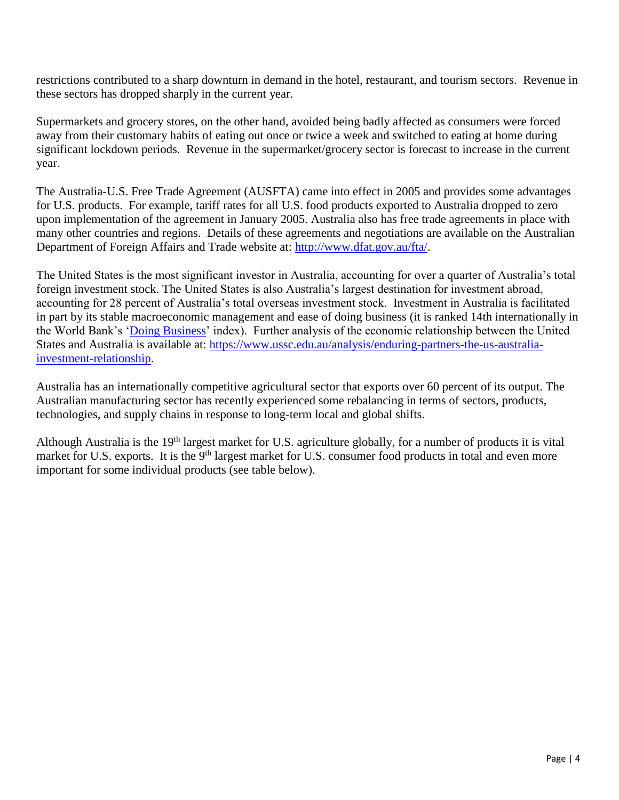restrictions contributed to a sharp downturn in demand in the hotel, restaurant, and tourism sectors. Revenue in these sectors has dropped sharply in the current year.

Supermarkets and grocery stores, on the other hand, avoided being badly affected as consumers were forced away from their customary habits of eating out once or twice a week and switched to eating at home during significant lockdown periods. Revenue in the supermarket/grocery sector is forecast to increase in the current year.

The Australia-U.S. Free Trade Agreement (AUSFTA) came into effect in 2005 and provides some advantages for U.S. products. For example, tariff rates for all U.S. food products exported to Australia dropped to zero upon implementation of the agreement in January 2005. Australia also has free trade agreements in place with many other countries and regions. Details of these agreements and negotiations are available on the Australian Department of Foreign Affairs and Trade website at: [http://www.dfat.gov.au/fta/.](http://www.dfat.gov.au/fta/)

The United States is the most significant investor in Australia, accounting for over a quarter of Australia's total foreign investment stock. The United States is also Australia's largest destination for investment abroad, accounting for 28 percent of Australia's total overseas investment stock. Investment in Australia is facilitated in part by its stable macroeconomic management and ease of doing business (it is ranked 14th internationally in the World Bank's ['Doing Business'](http://www.doingbusiness.org/rankings) index). Further analysis of the economic relationship between the United States and Australia is available at: [https://www.ussc.edu.au/analysis/enduring-partners-the-us-australia](https://www.ussc.edu.au/analysis/enduring-partners-the-us-australia-investment-relationship)[investment-relationship.](https://www.ussc.edu.au/analysis/enduring-partners-the-us-australia-investment-relationship)

Australia has an internationally competitive agricultural sector that exports over 60 percent of its output. The Australian manufacturing sector has recently experienced some rebalancing in terms of sectors, products, technologies, and supply chains in response to long-term local and global shifts.

Although Australia is the 19<sup>th</sup> largest market for U.S. agriculture globally, for a number of products it is vital market for U.S. exports. It is the 9<sup>th</sup> largest market for U.S. consumer food products in total and even more important for some individual products (see table below).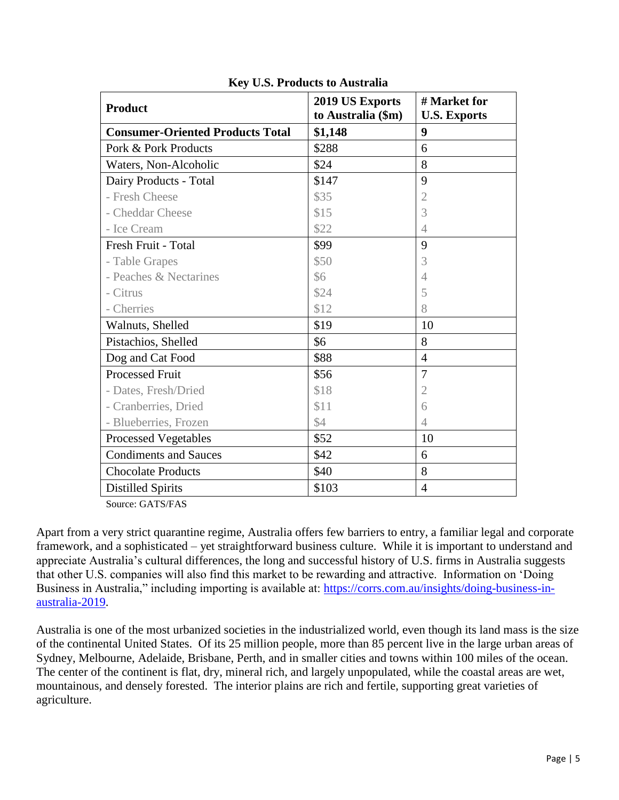| <b>Product</b>                          | 2019 US Exports<br>to Australia (\$m) | # Market for<br><b>U.S. Exports</b> |
|-----------------------------------------|---------------------------------------|-------------------------------------|
| <b>Consumer-Oriented Products Total</b> | \$1,148                               | 9                                   |
| Pork & Pork Products                    | \$288                                 | 6                                   |
| Waters, Non-Alcoholic                   | \$24                                  | 8                                   |
| Dairy Products - Total                  | \$147                                 | 9                                   |
| - Fresh Cheese                          | \$35                                  | $\overline{2}$                      |
| - Cheddar Cheese                        | \$15                                  | 3                                   |
| - Ice Cream                             | \$22                                  | $\overline{4}$                      |
| Fresh Fruit - Total                     | \$99                                  | 9                                   |
| - Table Grapes                          | \$50                                  | 3                                   |
| - Peaches & Nectarines                  | \$6                                   | $\overline{4}$                      |
| - Citrus                                | \$24                                  | 5                                   |
| - Cherries                              | \$12                                  | 8                                   |
| Walnuts, Shelled                        | \$19                                  | 10                                  |
| Pistachios, Shelled                     | \$6                                   | 8                                   |
| Dog and Cat Food                        | \$88                                  | $\overline{4}$                      |
| <b>Processed Fruit</b>                  | \$56                                  | $\overline{7}$                      |
| - Dates, Fresh/Dried                    | \$18                                  | $\overline{2}$                      |
| - Cranberries, Dried                    | \$11                                  | 6                                   |
| - Blueberries, Frozen                   | \$4                                   | $\overline{4}$                      |
| <b>Processed Vegetables</b>             | \$52                                  | 10                                  |
| <b>Condiments and Sauces</b>            | \$42                                  | 6                                   |
| <b>Chocolate Products</b>               | \$40                                  | 8                                   |
| <b>Distilled Spirits</b>                | \$103                                 | $\overline{4}$                      |

**Key U.S. Products to Australia**

Source: GATS/FAS

Apart from a very strict quarantine regime, Australia offers few barriers to entry, a familiar legal and corporate framework, and a sophisticated – yet straightforward business culture. While it is important to understand and appreciate Australia's cultural differences, the long and successful history of U.S. firms in Australia suggests that other U.S. companies will also find this market to be rewarding and attractive. Information on 'Doing Business in Australia," including importing is available at: [https://corrs.com.au/insights/doing-business-in](https://corrs.com.au/insights/doing-business-in-australia-2019)[australia-2019.](https://corrs.com.au/insights/doing-business-in-australia-2019)

Australia is one of the most urbanized societies in the industrialized world, even though its land mass is the size of the continental United States. Of its 25 million people, more than 85 percent live in the large urban areas of Sydney, Melbourne, Adelaide, Brisbane, Perth, and in smaller cities and towns within 100 miles of the ocean. The center of the continent is flat, dry, mineral rich, and largely unpopulated, while the coastal areas are wet, mountainous, and densely forested. The interior plains are rich and fertile, supporting great varieties of agriculture.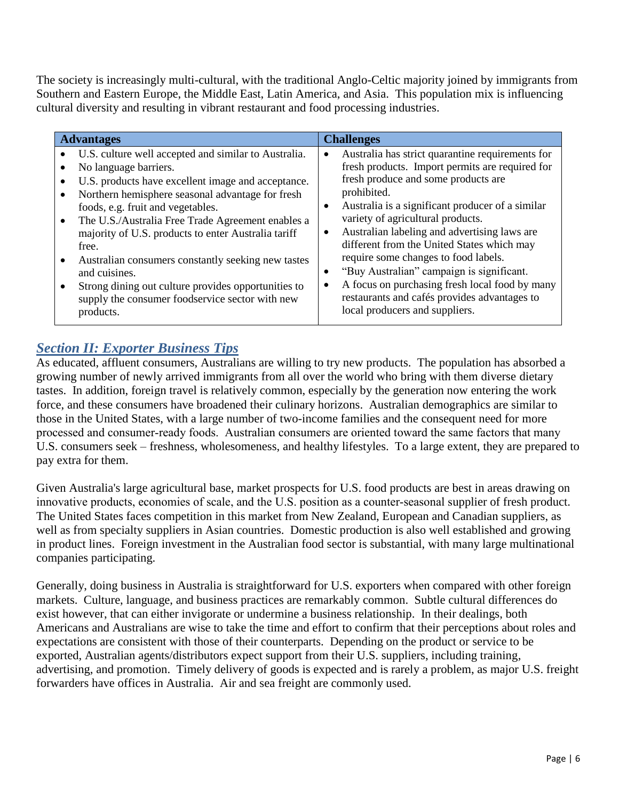The society is increasingly multi-cultural, with the traditional Anglo-Celtic majority joined by immigrants from Southern and Eastern Europe, the Middle East, Latin America, and Asia. This population mix is influencing cultural diversity and resulting in vibrant restaurant and food processing industries.

| <b>Advantages</b>                                                                                                                                                                                                                                                                                                                                                                                                                                                                                                                                                                                   | <b>Challenges</b>                                                                                                                                                                                                                                                                                                                                                                                                                                                                                                                                                                                                                          |
|-----------------------------------------------------------------------------------------------------------------------------------------------------------------------------------------------------------------------------------------------------------------------------------------------------------------------------------------------------------------------------------------------------------------------------------------------------------------------------------------------------------------------------------------------------------------------------------------------------|--------------------------------------------------------------------------------------------------------------------------------------------------------------------------------------------------------------------------------------------------------------------------------------------------------------------------------------------------------------------------------------------------------------------------------------------------------------------------------------------------------------------------------------------------------------------------------------------------------------------------------------------|
| U.S. culture well accepted and similar to Australia.<br>$\bullet$<br>No language barriers.<br>$\bullet$<br>U.S. products have excellent image and acceptance.<br>Northern hemisphere seasonal advantage for fresh<br>foods, e.g. fruit and vegetables.<br>The U.S./Australia Free Trade Agreement enables a<br>$\bullet$<br>majority of U.S. products to enter Australia tariff<br>free.<br>Australian consumers constantly seeking new tastes<br>$\bullet$<br>and cuisines.<br>Strong dining out culture provides opportunities to<br>supply the consumer foodservice sector with new<br>products. | Australia has strict quarantine requirements for<br>$\bullet$<br>fresh products. Import permits are required for<br>fresh produce and some products are<br>prohibited.<br>Australia is a significant producer of a similar<br>$\bullet$<br>variety of agricultural products.<br>Australian labeling and advertising laws are<br>$\bullet$<br>different from the United States which may<br>require some changes to food labels.<br>"Buy Australian" campaign is significant.<br>$\bullet$<br>A focus on purchasing fresh local food by many<br>$\bullet$<br>restaurants and cafés provides advantages to<br>local producers and suppliers. |

## *Section II: Exporter Business Tips*

As educated, affluent consumers, Australians are willing to try new products. The population has absorbed a growing number of newly arrived immigrants from all over the world who bring with them diverse dietary tastes. In addition, foreign travel is relatively common, especially by the generation now entering the work force, and these consumers have broadened their culinary horizons. Australian demographics are similar to those in the United States, with a large number of two-income families and the consequent need for more processed and consumer-ready foods. Australian consumers are oriented toward the same factors that many U.S. consumers seek – freshness, wholesomeness, and healthy lifestyles. To a large extent, they are prepared to pay extra for them.

Given Australia's large agricultural base, market prospects for U.S. food products are best in areas drawing on innovative products, economies of scale, and the U.S. position as a counter-seasonal supplier of fresh product. The United States faces competition in this market from New Zealand, European and Canadian suppliers, as well as from specialty suppliers in Asian countries. Domestic production is also well established and growing in product lines. Foreign investment in the Australian food sector is substantial, with many large multinational companies participating.

Generally, doing business in Australia is straightforward for U.S. exporters when compared with other foreign markets. Culture, language, and business practices are remarkably common. Subtle cultural differences do exist however, that can either invigorate or undermine a business relationship. In their dealings, both Americans and Australians are wise to take the time and effort to confirm that their perceptions about roles and expectations are consistent with those of their counterparts. Depending on the product or service to be exported, Australian agents/distributors expect support from their U.S. suppliers, including training, advertising, and promotion. Timely delivery of goods is expected and is rarely a problem, as major U.S. freight forwarders have offices in Australia. Air and sea freight are commonly used.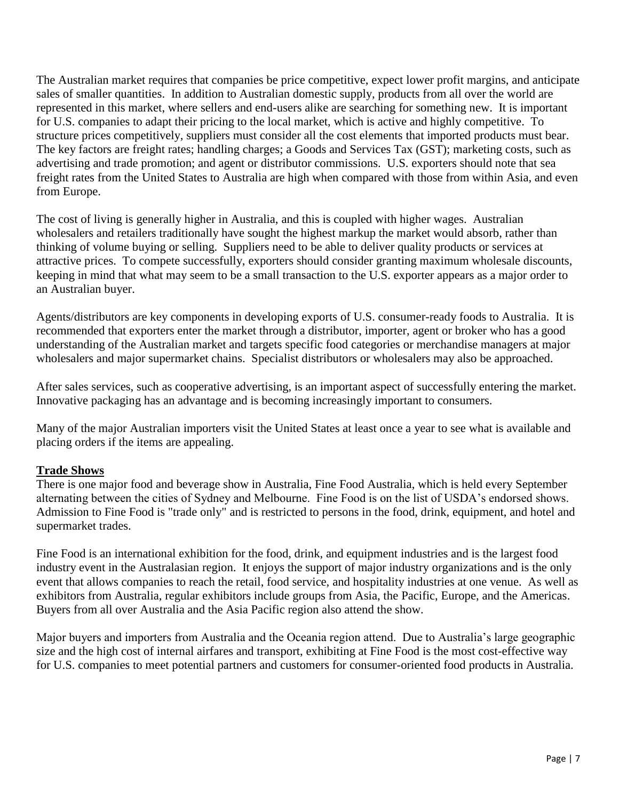The Australian market requires that companies be price competitive, expect lower profit margins, and anticipate sales of smaller quantities. In addition to Australian domestic supply, products from all over the world are represented in this market, where sellers and end-users alike are searching for something new. It is important for U.S. companies to adapt their pricing to the local market, which is active and highly competitive. To structure prices competitively, suppliers must consider all the cost elements that imported products must bear. The key factors are freight rates; handling charges; a Goods and Services Tax (GST); marketing costs, such as advertising and trade promotion; and agent or distributor commissions. U.S. exporters should note that sea freight rates from the United States to Australia are high when compared with those from within Asia, and even from Europe.

The cost of living is generally higher in Australia, and this is coupled with higher wages. Australian wholesalers and retailers traditionally have sought the highest markup the market would absorb, rather than thinking of volume buying or selling. Suppliers need to be able to deliver quality products or services at attractive prices. To compete successfully, exporters should consider granting maximum wholesale discounts, keeping in mind that what may seem to be a small transaction to the U.S. exporter appears as a major order to an Australian buyer.

Agents/distributors are key components in developing exports of U.S. consumer-ready foods to Australia. It is recommended that exporters enter the market through a distributor, importer, agent or broker who has a good understanding of the Australian market and targets specific food categories or merchandise managers at major wholesalers and major supermarket chains. Specialist distributors or wholesalers may also be approached.

After sales services, such as cooperative advertising, is an important aspect of successfully entering the market. Innovative packaging has an advantage and is becoming increasingly important to consumers.

Many of the major Australian importers visit the United States at least once a year to see what is available and placing orders if the items are appealing.

### **Trade Shows**

There is one major food and beverage show in Australia, Fine Food Australia, which is held every September alternating between the cities of Sydney and Melbourne. Fine Food is on the list of USDA's endorsed shows. Admission to Fine Food is "trade only" and is restricted to persons in the food, drink, equipment, and hotel and supermarket trades.

Fine Food is an international exhibition for the food, drink, and equipment industries and is the largest food industry event in the Australasian region. It enjoys the support of major industry organizations and is the only event that allows companies to reach the retail, food service, and hospitality industries at one venue. As well as exhibitors from Australia, regular exhibitors include groups from Asia, the Pacific, Europe, and the Americas. Buyers from all over Australia and the Asia Pacific region also attend the show.

Major buyers and importers from Australia and the Oceania region attend. Due to Australia's large geographic size and the high cost of internal airfares and transport, exhibiting at Fine Food is the most cost-effective way for U.S. companies to meet potential partners and customers for consumer-oriented food products in Australia.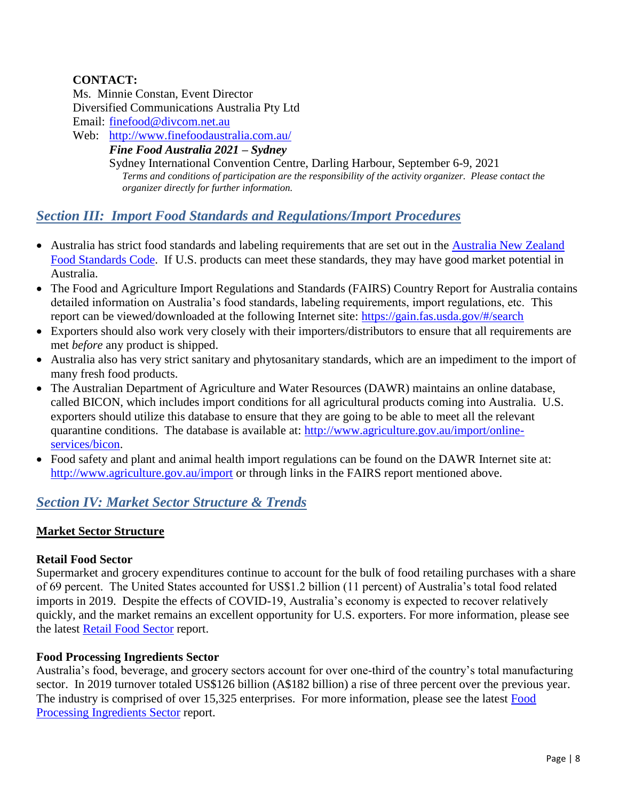## **CONTACT:**

Ms. Minnie Constan, Event Director Diversified Communications Australia Pty Ltd Email: [finefood@divcom.net.au](mailto:finefood@divcom.net.au)

Web: <http://www.finefoodaustralia.com.au/>

### *Fine Food Australia 2021 – Sydney*

Sydney International Convention Centre, Darling Harbour, September 6-9, 2021 *Terms and conditions of participation are the responsibility of the activity organizer. Please contact the organizer directly for further information.*

## *Section III: Import Food Standards and Regulations/Import Procedures*

- Australia has strict food standards and labeling requirements that are set out in the [Australia New Zealand](http://www.foodstandards.gov.au/code/Pages/default.aspx)  [Food Standards Code.](http://www.foodstandards.gov.au/code/Pages/default.aspx) If U.S. products can meet these standards, they may have good market potential in Australia.
- The Food and Agriculture Import Regulations and Standards (FAIRS) Country Report for Australia contains detailed information on Australia's food standards, labeling requirements, import regulations, etc. This report can be viewed/downloaded at the following Internet site:<https://gain.fas.usda.gov/#/search>
- Exporters should also work very closely with their importers/distributors to ensure that all requirements are met *before* any product is shipped.
- Australia also has very strict sanitary and phytosanitary standards, which are an impediment to the import of many fresh food products.
- The Australian Department of Agriculture and Water Resources (DAWR) maintains an online database, called BICON, which includes import conditions for all agricultural products coming into Australia. U.S. exporters should utilize this database to ensure that they are going to be able to meet all the relevant quarantine conditions. The database is available at: [http://www.agriculture.gov.au/import/online](http://www.agriculture.gov.au/import/online-services/bicon)[services/bicon.](http://www.agriculture.gov.au/import/online-services/bicon)
- Food safety and plant and animal health import regulations can be found on the DAWR Internet site at: <http://www.agriculture.gov.au/import> or through links in the FAIRS report mentioned above.

## *Section IV: Market Sector Structure & Trends*

### **Market Sector Structure**

### **Retail Food Sector**

Supermarket and grocery expenditures continue to account for the bulk of food retailing purchases with a share of 69 percent. The United States accounted for US\$1.2 billion (11 percent) of Australia's total food related imports in 2019. Despite the effects of COVID-19, Australia's economy is expected to recover relatively quickly, and the market remains an excellent opportunity for U.S. exporters. For more information, please see the latest [Retail Food Sector](https://gain.fas.usda.gov/#/search) report.

### **Food Processing Ingredients Sector**

Australia's food, beverage, and grocery sectors account for over one-third of the country's total manufacturing sector. In 2019 turnover totaled US\$126 billion (A\$182 billion) a rise of three percent over the previous year. The industry is comprised of over 15,325 enterprises. For more information, please see the latest [Food](https://gain.fas.usda.gov/#/search)  [Processing Ingredients Sector](https://gain.fas.usda.gov/#/search) report.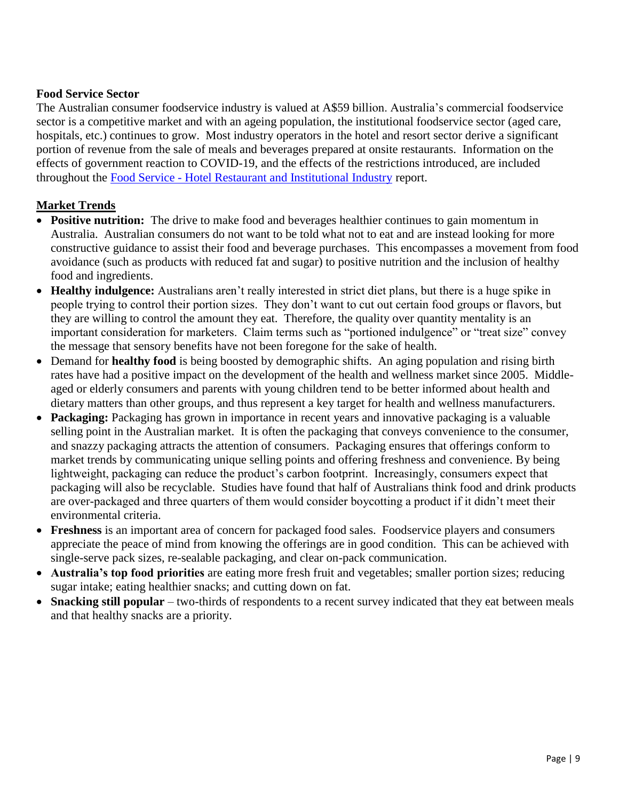#### **Food Service Sector**

The Australian consumer foodservice industry is valued at A\$59 billion. Australia's commercial foodservice sector is a competitive market and with an ageing population, the institutional foodservice sector (aged care, hospitals, etc.) continues to grow. Most industry operators in the hotel and resort sector derive a significant portion of revenue from the sale of meals and beverages prepared at onsite restaurants. Information on the effects of government reaction to COVID-19, and the effects of the restrictions introduced, are included throughout the Food Service - [Hotel Restaurant and Institutional Industry](https://gain.fas.usda.gov/#/search) report.

### **Market Trends**

- **Positive nutrition:** The drive to make food and beverages healthier continues to gain momentum in Australia. Australian consumers do not want to be told what not to eat and are instead looking for more constructive guidance to assist their food and beverage purchases. This encompasses a movement from food avoidance (such as products with reduced fat and sugar) to positive nutrition and the inclusion of healthy food and ingredients.
- **Healthy indulgence:** Australians aren't really interested in strict diet plans, but there is a huge spike in people trying to control their portion sizes. They don't want to cut out certain food groups or flavors, but they are willing to control the amount they eat. Therefore, the quality over quantity mentality is an important consideration for marketers. Claim terms such as "portioned indulgence" or "treat size" convey the message that sensory benefits have not been foregone for the sake of health.
- Demand for **healthy food** is being boosted by demographic shifts. An aging population and rising birth rates have had a positive impact on the development of the health and wellness market since 2005. Middleaged or elderly consumers and parents with young children tend to be better informed about health and dietary matters than other groups, and thus represent a key target for health and wellness manufacturers.
- **Packaging:** Packaging has grown in importance in recent years and innovative packaging is a valuable selling point in the Australian market. It is often the packaging that conveys convenience to the consumer, and snazzy packaging attracts the attention of consumers. Packaging ensures that offerings conform to market trends by communicating unique selling points and offering freshness and convenience. By being lightweight, packaging can reduce the product's carbon footprint. Increasingly, consumers expect that packaging will also be recyclable. Studies have found that half of Australians think food and drink products are over-packaged and three quarters of them would consider boycotting a product if it didn't meet their environmental criteria.
- **Freshness** is an important area of concern for packaged food sales. Foodservice players and consumers appreciate the peace of mind from knowing the offerings are in good condition. This can be achieved with single-serve pack sizes, re-sealable packaging, and clear on-pack communication.
- **Australia's top food priorities** are eating more fresh fruit and vegetables; smaller portion sizes; reducing sugar intake; eating healthier snacks; and cutting down on fat.
- **Snacking still popular** two-thirds of respondents to a recent survey indicated that they eat between meals and that healthy snacks are a priority.